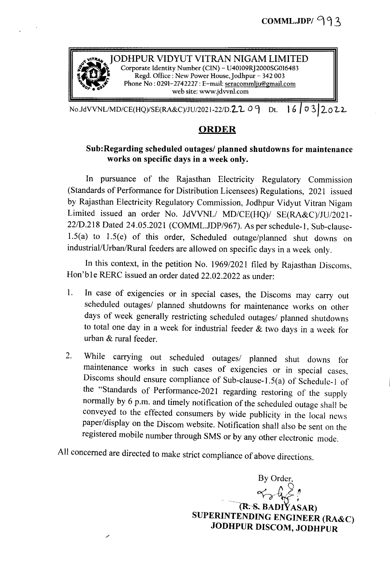

 $N_{0}$ JdVVNL/MD/CE(HQ)/SE(RA&C)/JU/2021-22/D.22 09 Dt. 16 0 32022

## ORDER

## Sub:Regarding scheduled outages/ planned shutdowns for maintenance works on specific days in a week only.

In pursuance of the Rajasthan Electricity Regulatory Commission (Standards of Performance for Distribution Licensees) Regulations, 2021 issued by Rajasthan Electricity Regulatory Commission, Jodhpur Vidyut Vitran Nigam Limited issued an order No. JdVVNL/ *MD/CE(HQ)/* SE(RA&C)/JU/2021-22/D.218 Dated 24.05.2021 (COMML.JDP/967). As per schedule-1, Sub-clause-1.5(a) to 1.5(e) of this order, Scheduled outage/planned shut downs on industrial/Urban/Rural feeders are allowed on specific days in a week only.

In this context, in the petition No. 1969/2021 filed by Rajasthan Discoms, Hon'ble RERC issued an order dated 22.02.2022 as under:

- 1. In case of exigencies or in special cases, the Discoms may carry out scheduled outages/ planned shutdowns for maintenance works on other days of week generally restricting scheduled outages/ planned shutdowns to total one day in a week for industrial feeder & two days in a week for urban & rural feeder.
- 2. While carrying out scheduled outages/ planned shut downs for maintenance works in such cases of exigencies or in special cases, Discoms should ensure compliance of Sub-clause-1.5(a) of Schedule-l of the "Standards of Performance-2021 regarding restoring of the supply normally by 6 p.m. and timely notification of the scheduled outage shall be conveyed to the effected consumers by wide publicity in the local news paper/display on the Discom website. Notification shall also be sent on the registered mobile number through SMS or by any other electronic mode.

All concerned are directed to make strict compliance of above directions.

/'

By Order, *~\_g/~?* (R.S. BADIYASAR) SUPERINTENDING ENGINEER (RA&C) JODHPUR DISCOM, JODHPUR